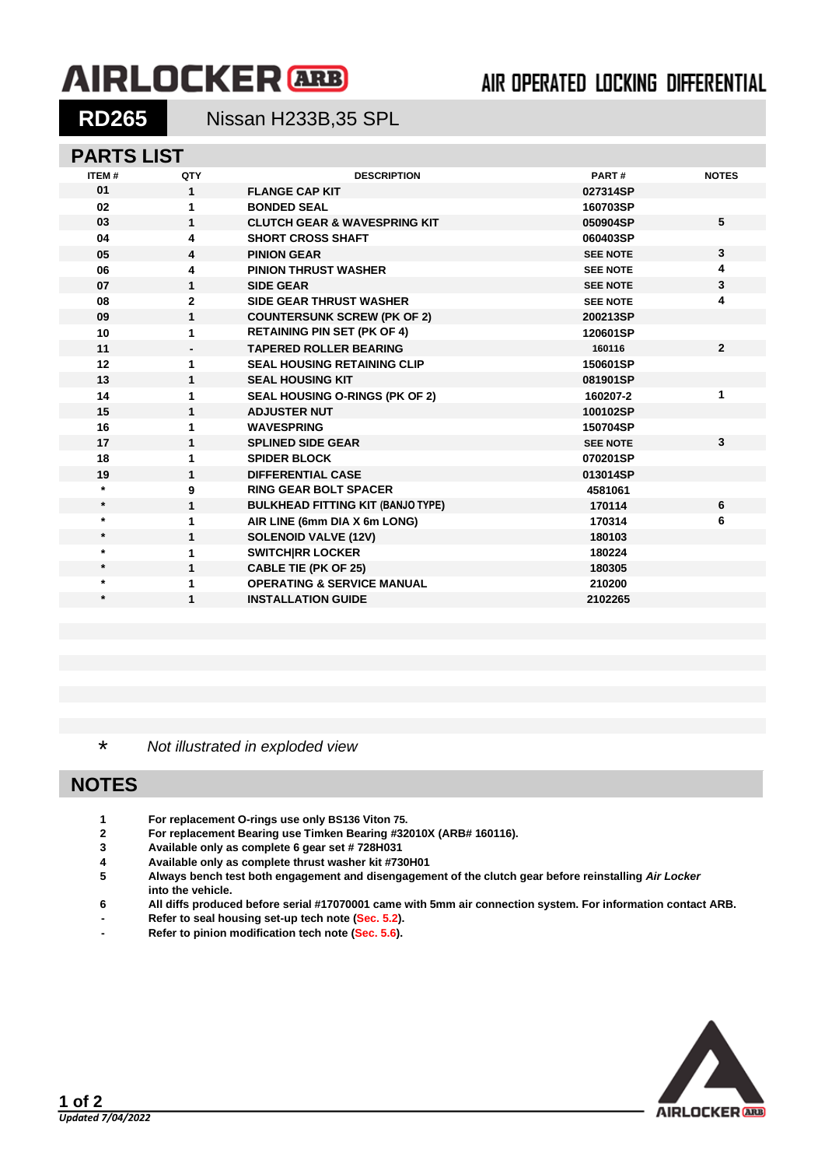# **AIRLOCKER** ARB

## AIR OPERATED LOCKING DIFFERENTIAL

**RD265** Nissan H233B,35 SPL

### **PARTS LIST**

| <b>ITEM#</b> | QTY          | <b>DESCRIPTION</b>                       | PART#           | <b>NOTES</b>   |
|--------------|--------------|------------------------------------------|-----------------|----------------|
| 01           | 1            | <b>FLANGE CAP KIT</b>                    | 027314SP        |                |
| 02           | 1            | <b>BONDED SEAL</b>                       | 160703SP        |                |
| 03           | $\mathbf{1}$ | <b>CLUTCH GEAR &amp; WAVESPRING KIT</b>  | 050904SP        | 5              |
| 04           | 4            | <b>SHORT CROSS SHAFT</b>                 | 060403SP        |                |
| 05           | 4            | <b>PINION GEAR</b>                       | <b>SEE NOTE</b> | $\mathbf{3}$   |
| 06           | 4            | <b>PINION THRUST WASHER</b>              | <b>SEE NOTE</b> | 4              |
| 07           | $\mathbf{1}$ | <b>SIDE GEAR</b>                         | <b>SEE NOTE</b> | 3              |
| 08           | $\mathbf{2}$ | <b>SIDE GEAR THRUST WASHER</b>           | <b>SEE NOTE</b> | 4              |
| 09           | 1            | <b>COUNTERSUNK SCREW (PK OF 2)</b>       | 200213SP        |                |
| 10           | 1            | <b>RETAINING PIN SET (PK OF 4)</b>       | 120601SP        |                |
| 11           |              | <b>TAPERED ROLLER BEARING</b>            | 160116          | $\overline{2}$ |
| 12           | 1            | <b>SEAL HOUSING RETAINING CLIP</b>       | 150601SP        |                |
| 13           | 1            | <b>SEAL HOUSING KIT</b>                  | 081901SP        |                |
| 14           | 1            | <b>SEAL HOUSING O-RINGS (PK OF 2)</b>    | 160207-2        | 1              |
| 15           | 1            | <b>ADJUSTER NUT</b>                      | 100102SP        |                |
| 16           | 1            | <b>WAVESPRING</b>                        | 150704SP        |                |
| 17           | 1            | <b>SPLINED SIDE GEAR</b>                 | <b>SEE NOTE</b> | $\overline{3}$ |
| 18           | 1            | <b>SPIDER BLOCK</b>                      | 070201SP        |                |
| 19           | $\mathbf{1}$ | <b>DIFFERENTIAL CASE</b>                 | 013014SP        |                |
| $\star$      | 9            | <b>RING GEAR BOLT SPACER</b>             | 4581061         |                |
| $\star$      | 1            | <b>BULKHEAD FITTING KIT (BANJO TYPE)</b> | 170114          | 6              |
| $\star$      | 1            | AIR LINE (6mm DIA X 6m LONG)             | 170314          | 6              |
| $\star$      | 1            | <b>SOLENOID VALVE (12V)</b>              | 180103          |                |
| $\star$      | 1            | <b>SWITCHIRR LOCKER</b>                  | 180224          |                |
| $\star$      | $\mathbf{1}$ | <b>CABLE TIE (PK OF 25)</b>              | 180305          |                |
| $\star$      | 1            | <b>OPERATING &amp; SERVICE MANUAL</b>    | 210200          |                |
| $\star$      | 1            | <b>INSTALLATION GUIDE</b>                | 2102265         |                |
|              |              |                                          |                 |                |

\* *Not illustrated in exploded view*

### **NOTES**

- **1 For replacement O-rings use only BS136 Viton 75.**
- **2 For replacement Bearing use Timken Bearing #32010X (ARB# 160116).**
- **3 Available only as complete 6 gear set # 728H031**
- **4 Available only as complete thrust washer kit #730H01**
- **5 Always bench test both engagement and disengagement of the clutch gear before reinstalling** *Air Locker* **into the vehicle.**
- **6 All diffs produced before serial #17070001 came with 5mm air connection system. For information contact ARB.**
- **- Refer to seal housing set-up tech note [\(Sec. 5.2\)](5-02.pdf).**
- **- Refer to pinion modification tech note [\(Sec. 5.6\)](5-06.pdf).**